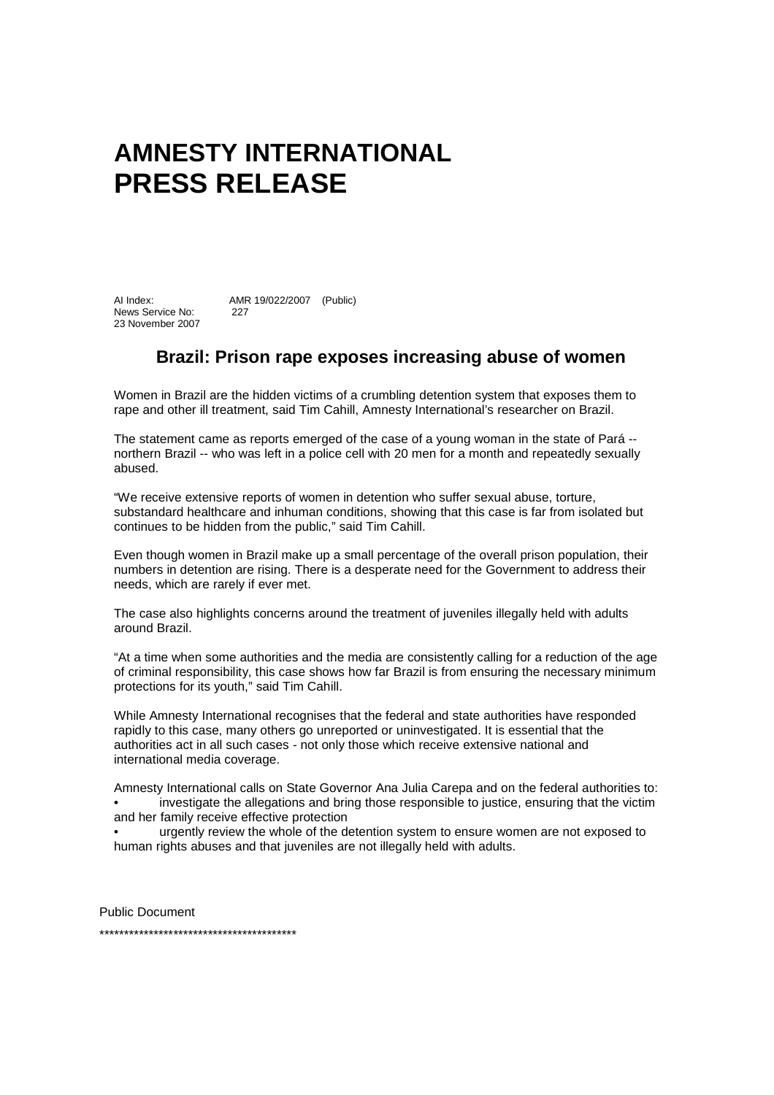## **AMNESTY INTERNATIONAL PRESS RELEASE**

AI Index: AMR 19/022/2007 (Public) News Service No: 227 23 November 2007

## **Brazil: Prison rape exposes increasing abuse of women**

Women in Brazil are the hidden victims of a crumbling detention system that exposes them to rape and other ill treatment, said Tim Cahill, Amnesty International's researcher on Brazil.

The statement came as reports emerged of the case of a young woman in the state of Pará - northern Brazil -- who was left in a police cell with 20 men for a month and repeatedly sexually abused.

"We receive extensive reports of women in detention who suffer sexual abuse, torture, substandard healthcare and inhuman conditions, showing that this case is far from isolated but continues to be hidden from the public," said Tim Cahill.

Even though women in Brazil make up a small percentage of the overall prison population, their numbers in detention are rising. There is a desperate need for the Government to address their needs, which are rarely if ever met.

The case also highlights concerns around the treatment of juveniles illegally held with adults around Brazil.

"At a time when some authorities and the media are consistently calling for a reduction of the age of criminal responsibility, this case shows how far Brazil is from ensuring the necessary minimum protections for its youth," said Tim Cahill.

While Amnesty International recognises that the federal and state authorities have responded rapidly to this case, many others go unreported or uninvestigated. It is essential that the authorities act in all such cases - not only those which receive extensive national and international media coverage.

Amnesty International calls on State Governor Ana Julia Carepa and on the federal authorities to: investigate the allegations and bring those responsible to justice, ensuring that the victim

and her family receive effective protection

• urgently review the whole of the detention system to ensure women are not exposed to human rights abuses and that juveniles are not illegally held with adults.

Public Document

\*\*\*\*\*\*\*\*\*\*\*\*\*\*\*\*\*\*\*\*\*\*\*\*\*\*\*\*\*\*\*\*\*\*\*\*\*\*\*\*